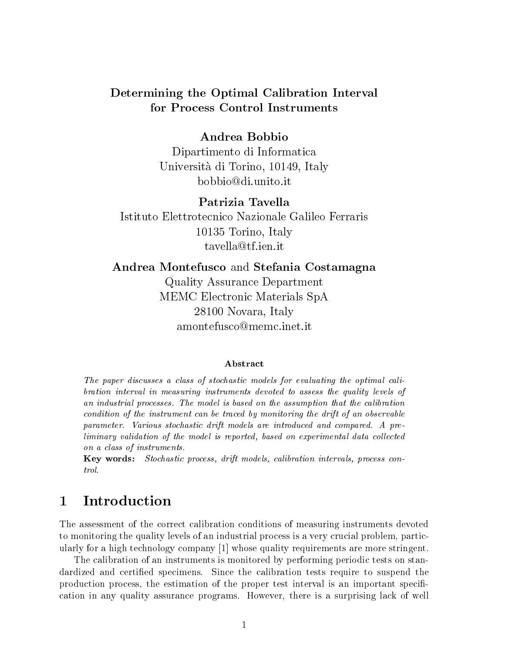# Determining the Optimal Calibration Interval for Process Control Instruments

## Andrea Bobbio

Dipartimento di Informatica Universita di Torino, 10149, Italy bobbio@di.unito.it

## Patrizia Tavella

Istituto Elettrotecnico Nazionale Galileo Ferraris 10135 Torino, Italy tavella@tf.ien.it

Andrea Montefusco and Stefania Costamagna Quality Assurance Department MEMC Electronic Materials SpA 28100 Novara, Italy amontefusco@memc.inet.it

### Abstract

The paper discusses a class of stochastic models for evaluating the optimal calibration interval in measuring instruments devoted to assess the quality levels of an industrial processes. The model is based on the assumption that the calibration condition of the instrument can be traced by monitoring the drift of an observable parameter. Various stochastic drift models are introduced and compared. A pre $liminary validation of the model is reported, based on experimental data collected$ on a class of instruments.

Key words: Stochastic process, drift models, calibration intervals, process con-

#### **Introduction**  $\mathbf{1}$

The assessment of the correct calibration conditions of measuring instruments devoted to monitoring the quality levels of an industrial process is a very crucial problem, particularly for a high technology company [1] whose quality requirements are more stringent.

The calibration of an instruments is monitored by performing periodic tests on standardized and certied specimens. Since the calibration tests require to suspend the production process, the estimation of the proper test interval is an important specification in any quality assurance programs. However, there is a surprising lack of well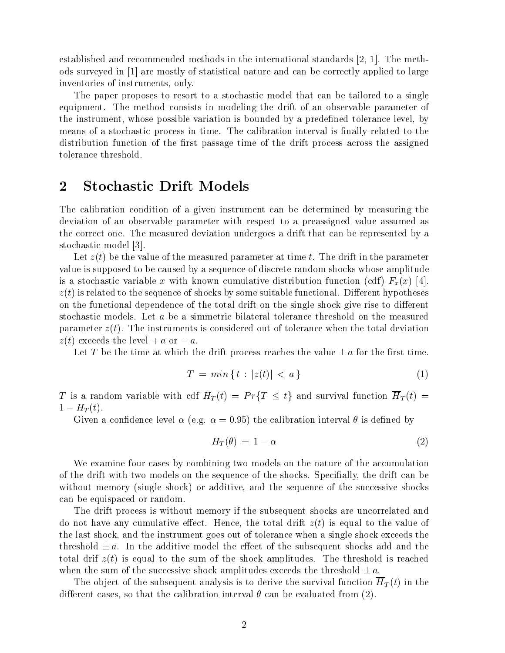established and recommended methods in the international standards [2, 1]. The methods surveyed in [1] are mostly of statistical nature and can be correctly applied to large inventories of instruments, only.

The paper proposes to resort to a stochastic model that can be tailored to a single equipment. The method consists in modeling the drift of an observable parameter of the instrument, whose possible variation is bounded by a predefined tolerance level, by means of a stochastic process in time. The calibration interval is finally related to the distribution function of the first passage time of the drift process across the assigned tolerance threshold.

# <sup>2</sup> Stochastic Drift Models

The calibration condition of a given instrument can be determined by measuring the deviation of an observable parameter with respect to a preassigned value assumed as the correct one. The measured deviation undergoes a drift that can be represented by a stochastic model [3].

Let  $z(t)$  be the value of the measured parameter at time t. The drift in the parameter value is supposed to be caused by a sequence of discrete random shocks whose amplitude is a stochastic variable x with known cumulative distribution function (cdf)  $F_x(x)$  [4].  $z(t)$  is related to the sequence of shocks by some suitable functional. Different hypotheses on the functional dependence of the total drift on the single shock give rise to different stochastic models. Let <sup>a</sup> be a simmetric bilateral tolerance threshold on the measured parameter  $z(t)$ . The instruments is considered out of tolerance when the total deviation  $z(t)$  exceeds the level  $+a$  or  $-a$ .

Let T be the time at which the drift process reaches the value  $\pm a$  for the first time.

$$
T = \min\left\{t : |z(t)| < a\right\} \tag{1}
$$

T is a random variable with cdf  $H_T(t) = Pr\{T \le t\}$  and survival function  $\overline{H}_T(t)$  =  $1 - H_T(t)$ .

Given a confidence level  $\alpha$  (e.g.  $\alpha = 0.95$ ) the calibration interval  $\theta$  is defined by

$$
H_T(\theta) = 1 - \alpha \tag{2}
$$

We examine four cases by combining two models on the nature of the accumulation of the drift with two models on the sequence of the shocks. Specially, the drift can be without memory (single shock) or additive, and the sequence of the successive shocks can be equispaced or random.

The drift process is without memory if the subsequent shocks are uncorrelated and do not have any cumulative effect. Hence, the total drift  $z(t)$  is equal to the value of the last shock, and the instrument goes out of tolerance when a single shock exceeds the threshold  $\pm a$ . In the additive model the effect of the subsequent shocks add and the total drif  $z(t)$  is equal to the sum of the shock amplitudes. The threshold is reached when the sum of the successive shock amplitudes exceeds the threshold  $\pm a$ .<br>The object of the subsequent analysis is to derive the survival function  $\overline{H}_T(t)$  in the

different cases, so that the calibration interval  $\theta$  can be evaluated from (2).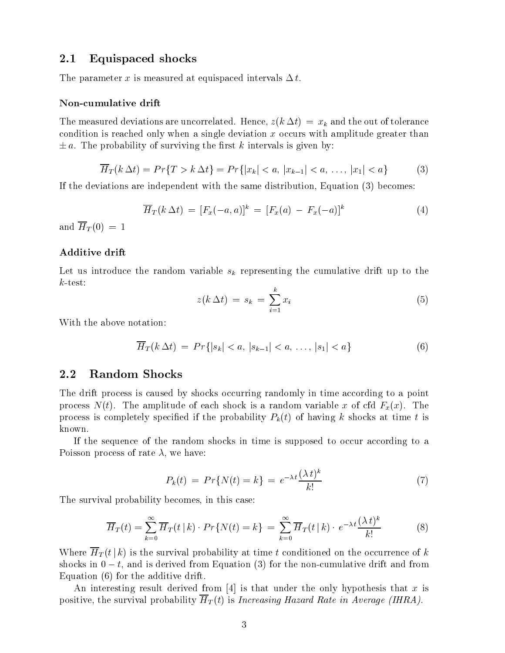## 2.1 Equispaced shocks

The parameter x is measured at equispaced intervals  $\Delta t$ .

#### Non-cumulative drift

The measured deviations are uncorrelated. Hence,  $z(k \Delta t) = x_k$  and the out of tolerance condition is reached only when a single deviation  $x$  occurs with amplitude greater than  $\pm a$ . The probability of surviving the first k intervals is given by:

$$
\overline{H}_T(k \Delta t) = Pr\{T > k \Delta t\} = Pr\{|x_k| < a, |x_{k-1}| < a, \dots, |x_1| < a\}
$$
 (3)

If the deviations are independent with the same distribution, Equation (3) becomes:

$$
\overline{H}_T(k \, \Delta t) = [F_x(-a, a)]^k = [F_x(a) - F_x(-a)]^k \tag{4}
$$

and  $\overline{H}_T(0) = 1$ 

#### Additive drift

Let us introduce the random variable  $s_k$  representing the cumulative drift up to the  $k$ -test:

$$
z(k \Delta t) = s_k = \sum_{i=1}^{k} x_i
$$
 (5)

With the above notation:

$$
\overline{H}_T(k \, \Delta t) \ = \ Pr\{|s_k| < a, \, |s_{k-1}| < a, \, \dots, \, |s_1| < a\} \tag{6}
$$

### 2.2 Random Shocks

The drift process is caused by shocks occurring randomly in time according to a point process  $N(t)$ . The amplitude of each shock is a random variable x of cfd  $F_x(x)$ . The process is completely specified if the probability  $P_k(t)$  of having k shocks at time t is known.

If the sequence of the random shocks in time is supposed to occur according to a Poisson process of rate  $\lambda$ , we have:

$$
P_k(t) = Pr\{N(t) = k\} = e^{-\lambda t} \frac{(\lambda t)^k}{k!}
$$
\n<sup>(7)</sup>

The survival probability becomes, in this case:

$$
\overline{H}_T(t) = \sum_{k=0}^{\infty} \overline{H}_T(t \mid k) \cdot Pr\{N(t) = k\} = \sum_{k=0}^{\infty} \overline{H}_T(t \mid k) \cdot e^{-\lambda t} \frac{(\lambda t)^k}{k!}
$$
(8)

Where  $\overline{H}_T(t|k)$  is the survival probability at time t conditioned on the occurrence of k shocks in  $0 - t$ , and is derived from Equation (3) for the non-cumulative drift and from Equation (6) for the additive drift.

An interesting result derived from  $[4]$  is that under the only hypothesis that x is positive, the survival probability  $\overline{H}_T(t)$  is Increasing Hazard Rate in Average (IHRA).